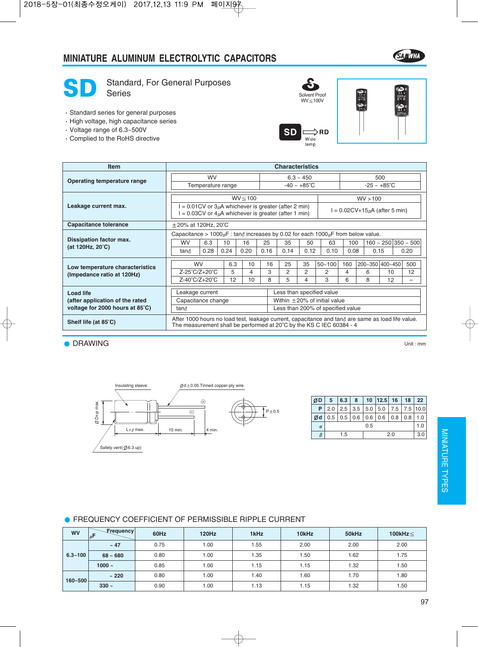### **MINIATURE ALUMINUM ELECTROLYTIC CAPACITORS**





SD Standard, For General Purposes

- Standard series for general purposes
- High voltage, high capacitance series
- Voltage range of 6.3~500V
- Complied to the RoHS directive





| <b>Item</b>                                                   | <b>Characteristics</b>                                                                                                                                                            |                               |      |              |      |                                   |                |      |            |                      |   |                                 |                          |  |  |
|---------------------------------------------------------------|-----------------------------------------------------------------------------------------------------------------------------------------------------------------------------------|-------------------------------|------|--------------|------|-----------------------------------|----------------|------|------------|----------------------|---|---------------------------------|--------------------------|--|--|
| Operating temperature range                                   |                                                                                                                                                                                   | <b>WV</b>                     |      |              |      | $6.3 \sim 450$                    |                |      |            | 500                  |   |                                 |                          |  |  |
|                                                               | Temperature range                                                                                                                                                                 |                               |      |              |      | $-40 - +85^{\circ}C$              |                |      |            | $-25 - +85^{\circ}C$ |   |                                 |                          |  |  |
|                                                               |                                                                                                                                                                                   |                               |      | $WV \le 100$ |      |                                   |                |      |            | WV > 100             |   |                                 |                          |  |  |
| Leakage current max.                                          | $= 0.01$ CV or 3 $\mu$ A whichever is greater (after 2 min)<br>$I = 0.02CV+15\mu A$ (after 5 min)<br>$= 0.03$ CV or $4\mu$ A whichever is greater (after 1 min)                   |                               |      |              |      |                                   |                |      |            |                      |   |                                 |                          |  |  |
| <b>Capacitance tolerance</b>                                  | $\pm$ 20% at 120Hz, 20 $^{\circ}$ C                                                                                                                                               |                               |      |              |      |                                   |                |      |            |                      |   |                                 |                          |  |  |
|                                                               | Capacitance > $1000 \mu$ F: tan $\delta$ increases by 0.02 for each $1000 \mu$ F from below value.                                                                                |                               |      |              |      |                                   |                |      |            |                      |   |                                 |                          |  |  |
| Dissipation factor max.                                       | 6.3<br><b>WV</b>                                                                                                                                                                  |                               | 10   | 16           | 25   |                                   | 35             | 50   | 63         | 100                  |   | $160 \sim 250   350 \sim 500  $ |                          |  |  |
| (at 120Hz, $20^{\circ}$ C)                                    | tan $\delta$                                                                                                                                                                      | 0.28                          | 0.24 | 0.20         | 0.16 |                                   | 0.14           | 0.12 | 0.10       | 0.08                 |   | 0.15                            | 0.20                     |  |  |
|                                                               | <b>WV</b>                                                                                                                                                                         |                               | 6.3  | 10           |      | 16                                | 25             | 35   | $50 - 100$ | 160                  |   | 200~350 400~450                 | 500                      |  |  |
| Low temperature characteristics<br>(Impedance ratio at 120Hz) | Z-25°C/Z+20°C                                                                                                                                                                     |                               | 5    | 4            |      | 3                                 | $\overline{2}$ | 2    | 2          | 4                    | 6 | 10                              | 12                       |  |  |
|                                                               |                                                                                                                                                                                   | $Z-40^{\circ}C/Z+20^{\circ}C$ | 12   | 10           |      | 8                                 | 5              | 4    | 3          |                      | 8 | 12                              | $\overline{\phantom{0}}$ |  |  |
| <b>Load life</b>                                              | Leakage current                                                                                                                                                                   |                               |      |              |      | Less than specified value         |                |      |            |                      |   |                                 |                          |  |  |
| (after application of the rated                               | Capacitance change                                                                                                                                                                |                               |      |              |      | Within $\pm$ 20% of initial value |                |      |            |                      |   |                                 |                          |  |  |
| voltage for 2000 hours at 85°C)                               | Less than 200% of specified value<br>tan∂                                                                                                                                         |                               |      |              |      |                                   |                |      |            |                      |   |                                 |                          |  |  |
| Shelf life (at 85°C)                                          | After 1000 hours no load test, leakage current, capacitance and tan $\delta$ are same as load life value.<br>The measurement shall be performed at 20°C by the KS C IEC 60384 - 4 |                               |      |              |      |                                   |                |      |            |                      |   |                                 |                          |  |  |

**O** DRAWING

Unit : mm



| ØD       | 5   | 6.3 8                                     |  |  | $10$   12.5   16                                          |  | 18 <sup>1</sup> | 22 <sub>1</sub> |  |  |
|----------|-----|-------------------------------------------|--|--|-----------------------------------------------------------|--|-----------------|-----------------|--|--|
|          |     |                                           |  |  | <b>P</b>   2.0   2.5   3.5   5.0   5.0   7.5   7.5   10.0 |  |                 |                 |  |  |
| Ød       |     | $0.5$   0.5   0.6   0.6   0.6   0.8   0.8 |  |  |                                                           |  |                 | 1.0             |  |  |
| $\alpha$ | 0.5 |                                           |  |  |                                                           |  |                 |                 |  |  |
| β        |     | 1.5                                       |  |  | 3.0                                                       |  |                 |                 |  |  |

| <b>WV</b>   | <b>Frequency</b><br>$\mu$ F | 60Hz | <b>120Hz</b> | 1kHz | 10kHz | 50kHz | 100kHz $\leq$ |  |
|-------------|-----------------------------|------|--------------|------|-------|-------|---------------|--|
|             | $~\sim$ 47                  | 0.75 | 1.00         | 1.55 | 2.00  | 2.00  | 2.00          |  |
| $6.3 - 100$ | $68 - 680$                  | 0.80 | 1.00         | 1.35 | 1.50  | 1.62  | 1.75          |  |
|             | 1000 $\sim$                 | 0.85 | 1.00         | 1.15 | 1.15  | 1.32  | 1.50          |  |
|             | ~220                        | 0.80 | 1.00         | 1.40 | 1.60  | 1.70  | 1.80          |  |
| $160 - 500$ | $330 -$                     | 0.90 | 1.00         | 1.13 | 1.15  | 1.32  | 1.50          |  |

#### **• FREQUENCY COEFFICIENT OF PERMISSIBLE RIPPLE CURRENT**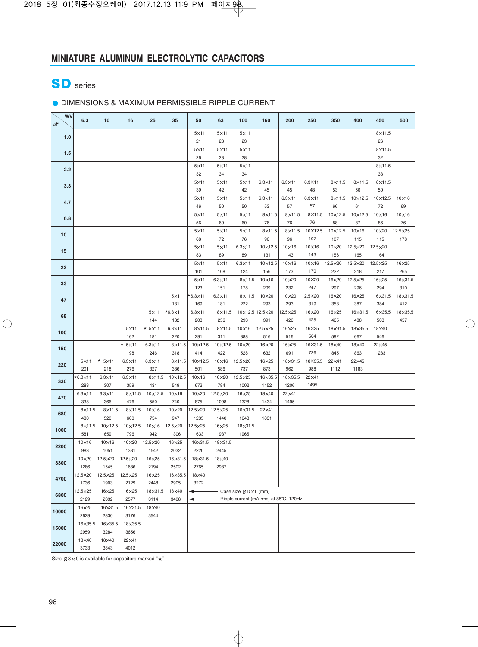# SD series

#### DIMENSIONS & MAXIMUM PERMISSIBLE RIPPLE CURRENT

| $5\times11$<br>$5\times11$<br>$8\times11.5$<br>$5\times11$<br>1.0<br>21<br>23<br>23<br>26<br>$5\times11$<br>$8\times11.5$<br>$5\times11$<br>$5\times11$<br>$1.5$<br>32<br>28<br>26<br>28<br>$5\times11$<br>$5\times11$<br>$5\times11$<br>$8\times11.5$<br>2.2<br>32<br>34<br>34<br>33<br>$5\times11$<br>$5\times11$<br>$5\times11$<br>$6.3\times11$<br>8×11.5<br>$8\times11.5$<br>$8\times11.5$<br>$6.3\times11$<br>$6.3\times11$<br>3.3<br>48<br>39<br>42<br>42<br>45<br>45<br>53<br>56<br>50<br>10×12.5<br>$6.3\times11$<br>$6.3 \times 11$<br>$10\times12.5$<br>$5\times11$<br>$5\times11$<br>$5\times11$<br>$6.3\times11$<br>$8\times11.5$<br>$10\times16$<br>4.7<br>57<br>46<br>50<br>53<br>57<br>66<br>61<br>72<br>69<br>50<br>8×11.5<br>$10\times16$<br>$5\times11$<br>$5\times11$<br>$5\times11$<br>$8\times11.5$<br>8×11.5<br>10×12.5<br>$10\times12.5$<br>$10\times16$<br>6.8<br>56<br>60<br>60<br>76<br>76<br>76<br>88<br>87<br>86<br>76<br>$8\times11.5$<br>10×12.5<br>$12.5\times25$<br>$5\times11$<br>$5\times11$<br>$5\times11$<br>$8\times11.5$<br>$10\times12.5$<br>$10\times16$<br>$10\times20$<br>10<br>107<br>68<br>72<br>76<br>96<br>96<br>107<br>178<br>115<br>115<br>$5\times11$<br>$6.3\times11$<br>10×12.5<br>10×16<br>10×16<br>12.5×20<br>12.5×20<br>$5\times11$<br>$10\times20$<br>15<br>143<br>83<br>89<br>89<br>131<br>143<br>156<br>164<br>165<br>$5\times11$<br>$6.3 \times 11$<br>$10\times16$<br>12.5×20<br>12.5×20<br>$12.5\times25$<br>16×25<br>$5\times11$<br>$10\times12.5$<br>$10\times16$<br>22<br>170<br>222<br>101<br>124<br>156<br>173<br>218<br>217<br>265<br>108<br>$6.3\times11$<br>$10\times16$<br>10×20<br>10×20<br>12.5×25<br>16×31.5<br>$5\times11$<br>8×11.5<br>16×20<br>$16\times25$<br>33<br>247<br>294<br>123<br>151<br>178<br>209<br>232<br>297<br>296<br>310<br>$\star$ 6.3 $\times$ 11<br>$6.3\times11$<br>$10\times20$<br>12.5×20<br>18×31.5<br>$5\times11$<br>$8\times11.5$<br>$10\times20$<br>16×20<br>16×25<br>$16 \times 31.5$<br>47<br>319<br>222<br>293<br>387<br>384<br>412<br>131<br>169<br>181<br>293<br>353<br>18×35.5<br>$*_{6.3\times11}$<br>10×12.5 12.5×20<br>$12.5\times25$<br>16×35.5<br>$5\times11$<br>$6.3\times11$<br>$8\times11.5$<br>16×20<br>16×25<br>$16\times31.5$<br>68<br>425<br>144<br>203<br>256<br>293<br>391<br>426<br>465<br>488<br>503<br>457<br>182<br>$\star$ 5×11<br>$5\times11$<br>$6.3 \times 11$<br>$8\times11.5$<br>$8\times11.5$<br>$10\times16$<br>12.5×25<br>16×25<br>16×25<br>18×31.5<br>18×35.5<br>18×40<br>100<br>564<br>162<br>181<br>220<br>291<br>311<br>388<br>516<br>592<br>546<br>516<br>667<br>$\star$ 5 $\times$ 11<br>$6.3\times11$<br>$8\times11.5$<br>$10\times12.5$<br>$10\times12.5$<br>10×20<br>$16\times25$<br>16×31.5<br>18×40<br>22×45<br>$16\times20$<br>$18\times 40$<br>150<br>726<br>198<br>246<br>318<br>414<br>422<br>528<br>632<br>691<br>845<br>863<br>1283<br>$*$ 5×11<br>18×35.5<br>$5\times11$<br>$6.3\times11$<br>$6.3\times11$<br>$8\times11.5$<br>10×12.5<br>$10\times16$<br>12.5×20<br>$16\times25$<br>18×31.5<br>22×41<br>22×45<br>220<br>988<br>201<br>276<br>327<br>386<br>501<br>737<br>873<br>962<br>1183<br>218<br>586<br>1112<br>$*6.3\times11$<br>$8\times11.5$<br>10×12.5<br>10×20<br>$12.5 \times 25$<br>18×35.5<br>22×41<br>$6.3\times11$<br>$6.3\times11$<br>$10\times16$<br>$16\times 35.5$<br>330<br>283<br>307<br>359<br>431<br>672<br>784<br>1002<br>1152<br>1206<br>1495<br>549<br>$6.3\times11$<br>$6.3\times11$<br>10×12.5<br>12.5×20<br>$8\times11.5$<br>$10\times16$<br>10×20<br>16×25<br>18×40<br>22×41<br>470<br>875<br>338<br>476<br>550<br>1098<br>1328<br>1434<br>1495<br>366<br>740<br>$10\times16$<br>12.5×25<br>$8\times11.5$<br>$8\times11.5$<br>$8\times11.5$<br>10×20<br>12.5×20<br>$16 \times 31.5$<br>22×41<br>680<br>600<br>754<br>947<br>480<br>520<br>1235<br>1440<br>1643<br>1831<br>$10\times16$<br>$8\times11.5$<br>10×12.5<br>$10\times12.5$<br>12.5×20<br>$12.5 \times 25$<br>$16\times25$<br>$18\times31.5$<br>1000<br>659<br>1965<br>581<br>796<br>942<br>1306<br>1633<br>1937<br>$10\times16$<br>$10\times16$<br>10×20<br>12.5×20<br>$16\times25$<br>16×31.5<br>18×31.5<br>2200<br>983<br>2032<br>2220<br>2445<br>1051<br>1331<br>1542<br>10×20<br>12.5×20<br>12.5×20<br>$16\times25$<br>16×31.5<br>18×31.5<br>$18\times 40$<br>3300<br>1286<br>1686<br>2194<br>2502<br>2765<br>2987<br>1545<br>12.5×20<br>12.5×25<br>12.5×25<br>16×25<br>16×35.5<br>18×40<br>4700<br>2129<br>2448<br>3272<br>1736<br>1903<br>2905<br>$12.5\times25$<br>$16\times25$<br>$16\times25$<br>18×31.5<br>18×40<br>Case size ØD×L (mm)<br>◀<br>6800<br>Ripple current (mA rms) at 85°C, 120Hz<br>2129<br>2332<br>2577<br>3114<br>3408<br>◀<br>16×25<br>16×31.5<br>$16\times31.5$<br>18×40<br>10000<br>2629<br>2830<br>3176<br>3544<br>16×35.5<br>16×35.5<br>18×35.5<br>15000<br>2959<br>3284<br>3656<br>18×40<br>18×40<br>22×41<br>22000 | <b>WV</b><br>$\mu$ F | 6.3  | 10   | 16   | 25 | 35 | 50 | 63 | 100 | 160 | 200 | 250 | 350 | 400 | 450 | 500 |
|------------------------------------------------------------------------------------------------------------------------------------------------------------------------------------------------------------------------------------------------------------------------------------------------------------------------------------------------------------------------------------------------------------------------------------------------------------------------------------------------------------------------------------------------------------------------------------------------------------------------------------------------------------------------------------------------------------------------------------------------------------------------------------------------------------------------------------------------------------------------------------------------------------------------------------------------------------------------------------------------------------------------------------------------------------------------------------------------------------------------------------------------------------------------------------------------------------------------------------------------------------------------------------------------------------------------------------------------------------------------------------------------------------------------------------------------------------------------------------------------------------------------------------------------------------------------------------------------------------------------------------------------------------------------------------------------------------------------------------------------------------------------------------------------------------------------------------------------------------------------------------------------------------------------------------------------------------------------------------------------------------------------------------------------------------------------------------------------------------------------------------------------------------------------------------------------------------------------------------------------------------------------------------------------------------------------------------------------------------------------------------------------------------------------------------------------------------------------------------------------------------------------------------------------------------------------------------------------------------------------------------------------------------------------------------------------------------------------------------------------------------------------------------------------------------------------------------------------------------------------------------------------------------------------------------------------------------------------------------------------------------------------------------------------------------------------------------------------------------------------------------------------------------------------------------------------------------------------------------------------------------------------------------------------------------------------------------------------------------------------------------------------------------------------------------------------------------------------------------------------------------------------------------------------------------------------------------------------------------------------------------------------------------------------------------------------------------------------------------------------------------------------------------------------------------------------------------------------------------------------------------------------------------------------------------------------------------------------------------------------------------------------------------------------------------------------------------------------------------------------------------------------------------------------------------------------------------------------------------------------------------------------------------------------------------------------------------------------------------------------------------------------------------------------------------------------------------------------------------------------------------------------------------------------------------------------------------------------------------------------------------------------------------------------------------------------------------------------------------------------------------------------------------------------------------------------------------------------------------------------------------------------------|----------------------|------|------|------|----|----|----|----|-----|-----|-----|-----|-----|-----|-----|-----|
|                                                                                                                                                                                                                                                                                                                                                                                                                                                                                                                                                                                                                                                                                                                                                                                                                                                                                                                                                                                                                                                                                                                                                                                                                                                                                                                                                                                                                                                                                                                                                                                                                                                                                                                                                                                                                                                                                                                                                                                                                                                                                                                                                                                                                                                                                                                                                                                                                                                                                                                                                                                                                                                                                                                                                                                                                                                                                                                                                                                                                                                                                                                                                                                                                                                                                                                                                                                                                                                                                                                                                                                                                                                                                                                                                                                                                                                                                                                                                                                                                                                                                                                                                                                                                                                                                                                                                                                                                                                                                                                                                                                                                                                                                                                                                                                                                                                                                                      |                      |      |      |      |    |    |    |    |     |     |     |     |     |     |     |     |
|                                                                                                                                                                                                                                                                                                                                                                                                                                                                                                                                                                                                                                                                                                                                                                                                                                                                                                                                                                                                                                                                                                                                                                                                                                                                                                                                                                                                                                                                                                                                                                                                                                                                                                                                                                                                                                                                                                                                                                                                                                                                                                                                                                                                                                                                                                                                                                                                                                                                                                                                                                                                                                                                                                                                                                                                                                                                                                                                                                                                                                                                                                                                                                                                                                                                                                                                                                                                                                                                                                                                                                                                                                                                                                                                                                                                                                                                                                                                                                                                                                                                                                                                                                                                                                                                                                                                                                                                                                                                                                                                                                                                                                                                                                                                                                                                                                                                                                      |                      |      |      |      |    |    |    |    |     |     |     |     |     |     |     |     |
|                                                                                                                                                                                                                                                                                                                                                                                                                                                                                                                                                                                                                                                                                                                                                                                                                                                                                                                                                                                                                                                                                                                                                                                                                                                                                                                                                                                                                                                                                                                                                                                                                                                                                                                                                                                                                                                                                                                                                                                                                                                                                                                                                                                                                                                                                                                                                                                                                                                                                                                                                                                                                                                                                                                                                                                                                                                                                                                                                                                                                                                                                                                                                                                                                                                                                                                                                                                                                                                                                                                                                                                                                                                                                                                                                                                                                                                                                                                                                                                                                                                                                                                                                                                                                                                                                                                                                                                                                                                                                                                                                                                                                                                                                                                                                                                                                                                                                                      |                      |      |      |      |    |    |    |    |     |     |     |     |     |     |     |     |
|                                                                                                                                                                                                                                                                                                                                                                                                                                                                                                                                                                                                                                                                                                                                                                                                                                                                                                                                                                                                                                                                                                                                                                                                                                                                                                                                                                                                                                                                                                                                                                                                                                                                                                                                                                                                                                                                                                                                                                                                                                                                                                                                                                                                                                                                                                                                                                                                                                                                                                                                                                                                                                                                                                                                                                                                                                                                                                                                                                                                                                                                                                                                                                                                                                                                                                                                                                                                                                                                                                                                                                                                                                                                                                                                                                                                                                                                                                                                                                                                                                                                                                                                                                                                                                                                                                                                                                                                                                                                                                                                                                                                                                                                                                                                                                                                                                                                                                      |                      |      |      |      |    |    |    |    |     |     |     |     |     |     |     |     |
|                                                                                                                                                                                                                                                                                                                                                                                                                                                                                                                                                                                                                                                                                                                                                                                                                                                                                                                                                                                                                                                                                                                                                                                                                                                                                                                                                                                                                                                                                                                                                                                                                                                                                                                                                                                                                                                                                                                                                                                                                                                                                                                                                                                                                                                                                                                                                                                                                                                                                                                                                                                                                                                                                                                                                                                                                                                                                                                                                                                                                                                                                                                                                                                                                                                                                                                                                                                                                                                                                                                                                                                                                                                                                                                                                                                                                                                                                                                                                                                                                                                                                                                                                                                                                                                                                                                                                                                                                                                                                                                                                                                                                                                                                                                                                                                                                                                                                                      |                      |      |      |      |    |    |    |    |     |     |     |     |     |     |     |     |
|                                                                                                                                                                                                                                                                                                                                                                                                                                                                                                                                                                                                                                                                                                                                                                                                                                                                                                                                                                                                                                                                                                                                                                                                                                                                                                                                                                                                                                                                                                                                                                                                                                                                                                                                                                                                                                                                                                                                                                                                                                                                                                                                                                                                                                                                                                                                                                                                                                                                                                                                                                                                                                                                                                                                                                                                                                                                                                                                                                                                                                                                                                                                                                                                                                                                                                                                                                                                                                                                                                                                                                                                                                                                                                                                                                                                                                                                                                                                                                                                                                                                                                                                                                                                                                                                                                                                                                                                                                                                                                                                                                                                                                                                                                                                                                                                                                                                                                      |                      |      |      |      |    |    |    |    |     |     |     |     |     |     |     |     |
|                                                                                                                                                                                                                                                                                                                                                                                                                                                                                                                                                                                                                                                                                                                                                                                                                                                                                                                                                                                                                                                                                                                                                                                                                                                                                                                                                                                                                                                                                                                                                                                                                                                                                                                                                                                                                                                                                                                                                                                                                                                                                                                                                                                                                                                                                                                                                                                                                                                                                                                                                                                                                                                                                                                                                                                                                                                                                                                                                                                                                                                                                                                                                                                                                                                                                                                                                                                                                                                                                                                                                                                                                                                                                                                                                                                                                                                                                                                                                                                                                                                                                                                                                                                                                                                                                                                                                                                                                                                                                                                                                                                                                                                                                                                                                                                                                                                                                                      |                      |      |      |      |    |    |    |    |     |     |     |     |     |     |     |     |
|                                                                                                                                                                                                                                                                                                                                                                                                                                                                                                                                                                                                                                                                                                                                                                                                                                                                                                                                                                                                                                                                                                                                                                                                                                                                                                                                                                                                                                                                                                                                                                                                                                                                                                                                                                                                                                                                                                                                                                                                                                                                                                                                                                                                                                                                                                                                                                                                                                                                                                                                                                                                                                                                                                                                                                                                                                                                                                                                                                                                                                                                                                                                                                                                                                                                                                                                                                                                                                                                                                                                                                                                                                                                                                                                                                                                                                                                                                                                                                                                                                                                                                                                                                                                                                                                                                                                                                                                                                                                                                                                                                                                                                                                                                                                                                                                                                                                                                      |                      |      |      |      |    |    |    |    |     |     |     |     |     |     |     |     |
|                                                                                                                                                                                                                                                                                                                                                                                                                                                                                                                                                                                                                                                                                                                                                                                                                                                                                                                                                                                                                                                                                                                                                                                                                                                                                                                                                                                                                                                                                                                                                                                                                                                                                                                                                                                                                                                                                                                                                                                                                                                                                                                                                                                                                                                                                                                                                                                                                                                                                                                                                                                                                                                                                                                                                                                                                                                                                                                                                                                                                                                                                                                                                                                                                                                                                                                                                                                                                                                                                                                                                                                                                                                                                                                                                                                                                                                                                                                                                                                                                                                                                                                                                                                                                                                                                                                                                                                                                                                                                                                                                                                                                                                                                                                                                                                                                                                                                                      |                      |      |      |      |    |    |    |    |     |     |     |     |     |     |     |     |
|                                                                                                                                                                                                                                                                                                                                                                                                                                                                                                                                                                                                                                                                                                                                                                                                                                                                                                                                                                                                                                                                                                                                                                                                                                                                                                                                                                                                                                                                                                                                                                                                                                                                                                                                                                                                                                                                                                                                                                                                                                                                                                                                                                                                                                                                                                                                                                                                                                                                                                                                                                                                                                                                                                                                                                                                                                                                                                                                                                                                                                                                                                                                                                                                                                                                                                                                                                                                                                                                                                                                                                                                                                                                                                                                                                                                                                                                                                                                                                                                                                                                                                                                                                                                                                                                                                                                                                                                                                                                                                                                                                                                                                                                                                                                                                                                                                                                                                      |                      |      |      |      |    |    |    |    |     |     |     |     |     |     |     |     |
|                                                                                                                                                                                                                                                                                                                                                                                                                                                                                                                                                                                                                                                                                                                                                                                                                                                                                                                                                                                                                                                                                                                                                                                                                                                                                                                                                                                                                                                                                                                                                                                                                                                                                                                                                                                                                                                                                                                                                                                                                                                                                                                                                                                                                                                                                                                                                                                                                                                                                                                                                                                                                                                                                                                                                                                                                                                                                                                                                                                                                                                                                                                                                                                                                                                                                                                                                                                                                                                                                                                                                                                                                                                                                                                                                                                                                                                                                                                                                                                                                                                                                                                                                                                                                                                                                                                                                                                                                                                                                                                                                                                                                                                                                                                                                                                                                                                                                                      |                      |      |      |      |    |    |    |    |     |     |     |     |     |     |     |     |
|                                                                                                                                                                                                                                                                                                                                                                                                                                                                                                                                                                                                                                                                                                                                                                                                                                                                                                                                                                                                                                                                                                                                                                                                                                                                                                                                                                                                                                                                                                                                                                                                                                                                                                                                                                                                                                                                                                                                                                                                                                                                                                                                                                                                                                                                                                                                                                                                                                                                                                                                                                                                                                                                                                                                                                                                                                                                                                                                                                                                                                                                                                                                                                                                                                                                                                                                                                                                                                                                                                                                                                                                                                                                                                                                                                                                                                                                                                                                                                                                                                                                                                                                                                                                                                                                                                                                                                                                                                                                                                                                                                                                                                                                                                                                                                                                                                                                                                      |                      |      |      |      |    |    |    |    |     |     |     |     |     |     |     |     |
|                                                                                                                                                                                                                                                                                                                                                                                                                                                                                                                                                                                                                                                                                                                                                                                                                                                                                                                                                                                                                                                                                                                                                                                                                                                                                                                                                                                                                                                                                                                                                                                                                                                                                                                                                                                                                                                                                                                                                                                                                                                                                                                                                                                                                                                                                                                                                                                                                                                                                                                                                                                                                                                                                                                                                                                                                                                                                                                                                                                                                                                                                                                                                                                                                                                                                                                                                                                                                                                                                                                                                                                                                                                                                                                                                                                                                                                                                                                                                                                                                                                                                                                                                                                                                                                                                                                                                                                                                                                                                                                                                                                                                                                                                                                                                                                                                                                                                                      |                      |      |      |      |    |    |    |    |     |     |     |     |     |     |     |     |
|                                                                                                                                                                                                                                                                                                                                                                                                                                                                                                                                                                                                                                                                                                                                                                                                                                                                                                                                                                                                                                                                                                                                                                                                                                                                                                                                                                                                                                                                                                                                                                                                                                                                                                                                                                                                                                                                                                                                                                                                                                                                                                                                                                                                                                                                                                                                                                                                                                                                                                                                                                                                                                                                                                                                                                                                                                                                                                                                                                                                                                                                                                                                                                                                                                                                                                                                                                                                                                                                                                                                                                                                                                                                                                                                                                                                                                                                                                                                                                                                                                                                                                                                                                                                                                                                                                                                                                                                                                                                                                                                                                                                                                                                                                                                                                                                                                                                                                      |                      |      |      |      |    |    |    |    |     |     |     |     |     |     |     |     |
|                                                                                                                                                                                                                                                                                                                                                                                                                                                                                                                                                                                                                                                                                                                                                                                                                                                                                                                                                                                                                                                                                                                                                                                                                                                                                                                                                                                                                                                                                                                                                                                                                                                                                                                                                                                                                                                                                                                                                                                                                                                                                                                                                                                                                                                                                                                                                                                                                                                                                                                                                                                                                                                                                                                                                                                                                                                                                                                                                                                                                                                                                                                                                                                                                                                                                                                                                                                                                                                                                                                                                                                                                                                                                                                                                                                                                                                                                                                                                                                                                                                                                                                                                                                                                                                                                                                                                                                                                                                                                                                                                                                                                                                                                                                                                                                                                                                                                                      |                      |      |      |      |    |    |    |    |     |     |     |     |     |     |     |     |
|                                                                                                                                                                                                                                                                                                                                                                                                                                                                                                                                                                                                                                                                                                                                                                                                                                                                                                                                                                                                                                                                                                                                                                                                                                                                                                                                                                                                                                                                                                                                                                                                                                                                                                                                                                                                                                                                                                                                                                                                                                                                                                                                                                                                                                                                                                                                                                                                                                                                                                                                                                                                                                                                                                                                                                                                                                                                                                                                                                                                                                                                                                                                                                                                                                                                                                                                                                                                                                                                                                                                                                                                                                                                                                                                                                                                                                                                                                                                                                                                                                                                                                                                                                                                                                                                                                                                                                                                                                                                                                                                                                                                                                                                                                                                                                                                                                                                                                      |                      |      |      |      |    |    |    |    |     |     |     |     |     |     |     |     |
|                                                                                                                                                                                                                                                                                                                                                                                                                                                                                                                                                                                                                                                                                                                                                                                                                                                                                                                                                                                                                                                                                                                                                                                                                                                                                                                                                                                                                                                                                                                                                                                                                                                                                                                                                                                                                                                                                                                                                                                                                                                                                                                                                                                                                                                                                                                                                                                                                                                                                                                                                                                                                                                                                                                                                                                                                                                                                                                                                                                                                                                                                                                                                                                                                                                                                                                                                                                                                                                                                                                                                                                                                                                                                                                                                                                                                                                                                                                                                                                                                                                                                                                                                                                                                                                                                                                                                                                                                                                                                                                                                                                                                                                                                                                                                                                                                                                                                                      |                      |      |      |      |    |    |    |    |     |     |     |     |     |     |     |     |
|                                                                                                                                                                                                                                                                                                                                                                                                                                                                                                                                                                                                                                                                                                                                                                                                                                                                                                                                                                                                                                                                                                                                                                                                                                                                                                                                                                                                                                                                                                                                                                                                                                                                                                                                                                                                                                                                                                                                                                                                                                                                                                                                                                                                                                                                                                                                                                                                                                                                                                                                                                                                                                                                                                                                                                                                                                                                                                                                                                                                                                                                                                                                                                                                                                                                                                                                                                                                                                                                                                                                                                                                                                                                                                                                                                                                                                                                                                                                                                                                                                                                                                                                                                                                                                                                                                                                                                                                                                                                                                                                                                                                                                                                                                                                                                                                                                                                                                      |                      |      |      |      |    |    |    |    |     |     |     |     |     |     |     |     |
|                                                                                                                                                                                                                                                                                                                                                                                                                                                                                                                                                                                                                                                                                                                                                                                                                                                                                                                                                                                                                                                                                                                                                                                                                                                                                                                                                                                                                                                                                                                                                                                                                                                                                                                                                                                                                                                                                                                                                                                                                                                                                                                                                                                                                                                                                                                                                                                                                                                                                                                                                                                                                                                                                                                                                                                                                                                                                                                                                                                                                                                                                                                                                                                                                                                                                                                                                                                                                                                                                                                                                                                                                                                                                                                                                                                                                                                                                                                                                                                                                                                                                                                                                                                                                                                                                                                                                                                                                                                                                                                                                                                                                                                                                                                                                                                                                                                                                                      |                      |      |      |      |    |    |    |    |     |     |     |     |     |     |     |     |
|                                                                                                                                                                                                                                                                                                                                                                                                                                                                                                                                                                                                                                                                                                                                                                                                                                                                                                                                                                                                                                                                                                                                                                                                                                                                                                                                                                                                                                                                                                                                                                                                                                                                                                                                                                                                                                                                                                                                                                                                                                                                                                                                                                                                                                                                                                                                                                                                                                                                                                                                                                                                                                                                                                                                                                                                                                                                                                                                                                                                                                                                                                                                                                                                                                                                                                                                                                                                                                                                                                                                                                                                                                                                                                                                                                                                                                                                                                                                                                                                                                                                                                                                                                                                                                                                                                                                                                                                                                                                                                                                                                                                                                                                                                                                                                                                                                                                                                      |                      |      |      |      |    |    |    |    |     |     |     |     |     |     |     |     |
|                                                                                                                                                                                                                                                                                                                                                                                                                                                                                                                                                                                                                                                                                                                                                                                                                                                                                                                                                                                                                                                                                                                                                                                                                                                                                                                                                                                                                                                                                                                                                                                                                                                                                                                                                                                                                                                                                                                                                                                                                                                                                                                                                                                                                                                                                                                                                                                                                                                                                                                                                                                                                                                                                                                                                                                                                                                                                                                                                                                                                                                                                                                                                                                                                                                                                                                                                                                                                                                                                                                                                                                                                                                                                                                                                                                                                                                                                                                                                                                                                                                                                                                                                                                                                                                                                                                                                                                                                                                                                                                                                                                                                                                                                                                                                                                                                                                                                                      |                      |      |      |      |    |    |    |    |     |     |     |     |     |     |     |     |
|                                                                                                                                                                                                                                                                                                                                                                                                                                                                                                                                                                                                                                                                                                                                                                                                                                                                                                                                                                                                                                                                                                                                                                                                                                                                                                                                                                                                                                                                                                                                                                                                                                                                                                                                                                                                                                                                                                                                                                                                                                                                                                                                                                                                                                                                                                                                                                                                                                                                                                                                                                                                                                                                                                                                                                                                                                                                                                                                                                                                                                                                                                                                                                                                                                                                                                                                                                                                                                                                                                                                                                                                                                                                                                                                                                                                                                                                                                                                                                                                                                                                                                                                                                                                                                                                                                                                                                                                                                                                                                                                                                                                                                                                                                                                                                                                                                                                                                      |                      |      |      |      |    |    |    |    |     |     |     |     |     |     |     |     |
|                                                                                                                                                                                                                                                                                                                                                                                                                                                                                                                                                                                                                                                                                                                                                                                                                                                                                                                                                                                                                                                                                                                                                                                                                                                                                                                                                                                                                                                                                                                                                                                                                                                                                                                                                                                                                                                                                                                                                                                                                                                                                                                                                                                                                                                                                                                                                                                                                                                                                                                                                                                                                                                                                                                                                                                                                                                                                                                                                                                                                                                                                                                                                                                                                                                                                                                                                                                                                                                                                                                                                                                                                                                                                                                                                                                                                                                                                                                                                                                                                                                                                                                                                                                                                                                                                                                                                                                                                                                                                                                                                                                                                                                                                                                                                                                                                                                                                                      |                      |      |      |      |    |    |    |    |     |     |     |     |     |     |     |     |
|                                                                                                                                                                                                                                                                                                                                                                                                                                                                                                                                                                                                                                                                                                                                                                                                                                                                                                                                                                                                                                                                                                                                                                                                                                                                                                                                                                                                                                                                                                                                                                                                                                                                                                                                                                                                                                                                                                                                                                                                                                                                                                                                                                                                                                                                                                                                                                                                                                                                                                                                                                                                                                                                                                                                                                                                                                                                                                                                                                                                                                                                                                                                                                                                                                                                                                                                                                                                                                                                                                                                                                                                                                                                                                                                                                                                                                                                                                                                                                                                                                                                                                                                                                                                                                                                                                                                                                                                                                                                                                                                                                                                                                                                                                                                                                                                                                                                                                      |                      |      |      |      |    |    |    |    |     |     |     |     |     |     |     |     |
|                                                                                                                                                                                                                                                                                                                                                                                                                                                                                                                                                                                                                                                                                                                                                                                                                                                                                                                                                                                                                                                                                                                                                                                                                                                                                                                                                                                                                                                                                                                                                                                                                                                                                                                                                                                                                                                                                                                                                                                                                                                                                                                                                                                                                                                                                                                                                                                                                                                                                                                                                                                                                                                                                                                                                                                                                                                                                                                                                                                                                                                                                                                                                                                                                                                                                                                                                                                                                                                                                                                                                                                                                                                                                                                                                                                                                                                                                                                                                                                                                                                                                                                                                                                                                                                                                                                                                                                                                                                                                                                                                                                                                                                                                                                                                                                                                                                                                                      |                      |      |      |      |    |    |    |    |     |     |     |     |     |     |     |     |
|                                                                                                                                                                                                                                                                                                                                                                                                                                                                                                                                                                                                                                                                                                                                                                                                                                                                                                                                                                                                                                                                                                                                                                                                                                                                                                                                                                                                                                                                                                                                                                                                                                                                                                                                                                                                                                                                                                                                                                                                                                                                                                                                                                                                                                                                                                                                                                                                                                                                                                                                                                                                                                                                                                                                                                                                                                                                                                                                                                                                                                                                                                                                                                                                                                                                                                                                                                                                                                                                                                                                                                                                                                                                                                                                                                                                                                                                                                                                                                                                                                                                                                                                                                                                                                                                                                                                                                                                                                                                                                                                                                                                                                                                                                                                                                                                                                                                                                      |                      |      |      |      |    |    |    |    |     |     |     |     |     |     |     |     |
|                                                                                                                                                                                                                                                                                                                                                                                                                                                                                                                                                                                                                                                                                                                                                                                                                                                                                                                                                                                                                                                                                                                                                                                                                                                                                                                                                                                                                                                                                                                                                                                                                                                                                                                                                                                                                                                                                                                                                                                                                                                                                                                                                                                                                                                                                                                                                                                                                                                                                                                                                                                                                                                                                                                                                                                                                                                                                                                                                                                                                                                                                                                                                                                                                                                                                                                                                                                                                                                                                                                                                                                                                                                                                                                                                                                                                                                                                                                                                                                                                                                                                                                                                                                                                                                                                                                                                                                                                                                                                                                                                                                                                                                                                                                                                                                                                                                                                                      |                      |      |      |      |    |    |    |    |     |     |     |     |     |     |     |     |
|                                                                                                                                                                                                                                                                                                                                                                                                                                                                                                                                                                                                                                                                                                                                                                                                                                                                                                                                                                                                                                                                                                                                                                                                                                                                                                                                                                                                                                                                                                                                                                                                                                                                                                                                                                                                                                                                                                                                                                                                                                                                                                                                                                                                                                                                                                                                                                                                                                                                                                                                                                                                                                                                                                                                                                                                                                                                                                                                                                                                                                                                                                                                                                                                                                                                                                                                                                                                                                                                                                                                                                                                                                                                                                                                                                                                                                                                                                                                                                                                                                                                                                                                                                                                                                                                                                                                                                                                                                                                                                                                                                                                                                                                                                                                                                                                                                                                                                      |                      |      |      |      |    |    |    |    |     |     |     |     |     |     |     |     |
|                                                                                                                                                                                                                                                                                                                                                                                                                                                                                                                                                                                                                                                                                                                                                                                                                                                                                                                                                                                                                                                                                                                                                                                                                                                                                                                                                                                                                                                                                                                                                                                                                                                                                                                                                                                                                                                                                                                                                                                                                                                                                                                                                                                                                                                                                                                                                                                                                                                                                                                                                                                                                                                                                                                                                                                                                                                                                                                                                                                                                                                                                                                                                                                                                                                                                                                                                                                                                                                                                                                                                                                                                                                                                                                                                                                                                                                                                                                                                                                                                                                                                                                                                                                                                                                                                                                                                                                                                                                                                                                                                                                                                                                                                                                                                                                                                                                                                                      |                      |      |      |      |    |    |    |    |     |     |     |     |     |     |     |     |
|                                                                                                                                                                                                                                                                                                                                                                                                                                                                                                                                                                                                                                                                                                                                                                                                                                                                                                                                                                                                                                                                                                                                                                                                                                                                                                                                                                                                                                                                                                                                                                                                                                                                                                                                                                                                                                                                                                                                                                                                                                                                                                                                                                                                                                                                                                                                                                                                                                                                                                                                                                                                                                                                                                                                                                                                                                                                                                                                                                                                                                                                                                                                                                                                                                                                                                                                                                                                                                                                                                                                                                                                                                                                                                                                                                                                                                                                                                                                                                                                                                                                                                                                                                                                                                                                                                                                                                                                                                                                                                                                                                                                                                                                                                                                                                                                                                                                                                      |                      |      |      |      |    |    |    |    |     |     |     |     |     |     |     |     |
|                                                                                                                                                                                                                                                                                                                                                                                                                                                                                                                                                                                                                                                                                                                                                                                                                                                                                                                                                                                                                                                                                                                                                                                                                                                                                                                                                                                                                                                                                                                                                                                                                                                                                                                                                                                                                                                                                                                                                                                                                                                                                                                                                                                                                                                                                                                                                                                                                                                                                                                                                                                                                                                                                                                                                                                                                                                                                                                                                                                                                                                                                                                                                                                                                                                                                                                                                                                                                                                                                                                                                                                                                                                                                                                                                                                                                                                                                                                                                                                                                                                                                                                                                                                                                                                                                                                                                                                                                                                                                                                                                                                                                                                                                                                                                                                                                                                                                                      |                      |      |      |      |    |    |    |    |     |     |     |     |     |     |     |     |
|                                                                                                                                                                                                                                                                                                                                                                                                                                                                                                                                                                                                                                                                                                                                                                                                                                                                                                                                                                                                                                                                                                                                                                                                                                                                                                                                                                                                                                                                                                                                                                                                                                                                                                                                                                                                                                                                                                                                                                                                                                                                                                                                                                                                                                                                                                                                                                                                                                                                                                                                                                                                                                                                                                                                                                                                                                                                                                                                                                                                                                                                                                                                                                                                                                                                                                                                                                                                                                                                                                                                                                                                                                                                                                                                                                                                                                                                                                                                                                                                                                                                                                                                                                                                                                                                                                                                                                                                                                                                                                                                                                                                                                                                                                                                                                                                                                                                                                      |                      |      |      |      |    |    |    |    |     |     |     |     |     |     |     |     |
|                                                                                                                                                                                                                                                                                                                                                                                                                                                                                                                                                                                                                                                                                                                                                                                                                                                                                                                                                                                                                                                                                                                                                                                                                                                                                                                                                                                                                                                                                                                                                                                                                                                                                                                                                                                                                                                                                                                                                                                                                                                                                                                                                                                                                                                                                                                                                                                                                                                                                                                                                                                                                                                                                                                                                                                                                                                                                                                                                                                                                                                                                                                                                                                                                                                                                                                                                                                                                                                                                                                                                                                                                                                                                                                                                                                                                                                                                                                                                                                                                                                                                                                                                                                                                                                                                                                                                                                                                                                                                                                                                                                                                                                                                                                                                                                                                                                                                                      |                      |      |      |      |    |    |    |    |     |     |     |     |     |     |     |     |
|                                                                                                                                                                                                                                                                                                                                                                                                                                                                                                                                                                                                                                                                                                                                                                                                                                                                                                                                                                                                                                                                                                                                                                                                                                                                                                                                                                                                                                                                                                                                                                                                                                                                                                                                                                                                                                                                                                                                                                                                                                                                                                                                                                                                                                                                                                                                                                                                                                                                                                                                                                                                                                                                                                                                                                                                                                                                                                                                                                                                                                                                                                                                                                                                                                                                                                                                                                                                                                                                                                                                                                                                                                                                                                                                                                                                                                                                                                                                                                                                                                                                                                                                                                                                                                                                                                                                                                                                                                                                                                                                                                                                                                                                                                                                                                                                                                                                                                      |                      |      |      |      |    |    |    |    |     |     |     |     |     |     |     |     |
|                                                                                                                                                                                                                                                                                                                                                                                                                                                                                                                                                                                                                                                                                                                                                                                                                                                                                                                                                                                                                                                                                                                                                                                                                                                                                                                                                                                                                                                                                                                                                                                                                                                                                                                                                                                                                                                                                                                                                                                                                                                                                                                                                                                                                                                                                                                                                                                                                                                                                                                                                                                                                                                                                                                                                                                                                                                                                                                                                                                                                                                                                                                                                                                                                                                                                                                                                                                                                                                                                                                                                                                                                                                                                                                                                                                                                                                                                                                                                                                                                                                                                                                                                                                                                                                                                                                                                                                                                                                                                                                                                                                                                                                                                                                                                                                                                                                                                                      |                      |      |      |      |    |    |    |    |     |     |     |     |     |     |     |     |
|                                                                                                                                                                                                                                                                                                                                                                                                                                                                                                                                                                                                                                                                                                                                                                                                                                                                                                                                                                                                                                                                                                                                                                                                                                                                                                                                                                                                                                                                                                                                                                                                                                                                                                                                                                                                                                                                                                                                                                                                                                                                                                                                                                                                                                                                                                                                                                                                                                                                                                                                                                                                                                                                                                                                                                                                                                                                                                                                                                                                                                                                                                                                                                                                                                                                                                                                                                                                                                                                                                                                                                                                                                                                                                                                                                                                                                                                                                                                                                                                                                                                                                                                                                                                                                                                                                                                                                                                                                                                                                                                                                                                                                                                                                                                                                                                                                                                                                      |                      |      |      |      |    |    |    |    |     |     |     |     |     |     |     |     |
|                                                                                                                                                                                                                                                                                                                                                                                                                                                                                                                                                                                                                                                                                                                                                                                                                                                                                                                                                                                                                                                                                                                                                                                                                                                                                                                                                                                                                                                                                                                                                                                                                                                                                                                                                                                                                                                                                                                                                                                                                                                                                                                                                                                                                                                                                                                                                                                                                                                                                                                                                                                                                                                                                                                                                                                                                                                                                                                                                                                                                                                                                                                                                                                                                                                                                                                                                                                                                                                                                                                                                                                                                                                                                                                                                                                                                                                                                                                                                                                                                                                                                                                                                                                                                                                                                                                                                                                                                                                                                                                                                                                                                                                                                                                                                                                                                                                                                                      |                      |      |      |      |    |    |    |    |     |     |     |     |     |     |     |     |
|                                                                                                                                                                                                                                                                                                                                                                                                                                                                                                                                                                                                                                                                                                                                                                                                                                                                                                                                                                                                                                                                                                                                                                                                                                                                                                                                                                                                                                                                                                                                                                                                                                                                                                                                                                                                                                                                                                                                                                                                                                                                                                                                                                                                                                                                                                                                                                                                                                                                                                                                                                                                                                                                                                                                                                                                                                                                                                                                                                                                                                                                                                                                                                                                                                                                                                                                                                                                                                                                                                                                                                                                                                                                                                                                                                                                                                                                                                                                                                                                                                                                                                                                                                                                                                                                                                                                                                                                                                                                                                                                                                                                                                                                                                                                                                                                                                                                                                      |                      |      |      |      |    |    |    |    |     |     |     |     |     |     |     |     |
|                                                                                                                                                                                                                                                                                                                                                                                                                                                                                                                                                                                                                                                                                                                                                                                                                                                                                                                                                                                                                                                                                                                                                                                                                                                                                                                                                                                                                                                                                                                                                                                                                                                                                                                                                                                                                                                                                                                                                                                                                                                                                                                                                                                                                                                                                                                                                                                                                                                                                                                                                                                                                                                                                                                                                                                                                                                                                                                                                                                                                                                                                                                                                                                                                                                                                                                                                                                                                                                                                                                                                                                                                                                                                                                                                                                                                                                                                                                                                                                                                                                                                                                                                                                                                                                                                                                                                                                                                                                                                                                                                                                                                                                                                                                                                                                                                                                                                                      |                      |      |      |      |    |    |    |    |     |     |     |     |     |     |     |     |
|                                                                                                                                                                                                                                                                                                                                                                                                                                                                                                                                                                                                                                                                                                                                                                                                                                                                                                                                                                                                                                                                                                                                                                                                                                                                                                                                                                                                                                                                                                                                                                                                                                                                                                                                                                                                                                                                                                                                                                                                                                                                                                                                                                                                                                                                                                                                                                                                                                                                                                                                                                                                                                                                                                                                                                                                                                                                                                                                                                                                                                                                                                                                                                                                                                                                                                                                                                                                                                                                                                                                                                                                                                                                                                                                                                                                                                                                                                                                                                                                                                                                                                                                                                                                                                                                                                                                                                                                                                                                                                                                                                                                                                                                                                                                                                                                                                                                                                      |                      |      |      |      |    |    |    |    |     |     |     |     |     |     |     |     |
|                                                                                                                                                                                                                                                                                                                                                                                                                                                                                                                                                                                                                                                                                                                                                                                                                                                                                                                                                                                                                                                                                                                                                                                                                                                                                                                                                                                                                                                                                                                                                                                                                                                                                                                                                                                                                                                                                                                                                                                                                                                                                                                                                                                                                                                                                                                                                                                                                                                                                                                                                                                                                                                                                                                                                                                                                                                                                                                                                                                                                                                                                                                                                                                                                                                                                                                                                                                                                                                                                                                                                                                                                                                                                                                                                                                                                                                                                                                                                                                                                                                                                                                                                                                                                                                                                                                                                                                                                                                                                                                                                                                                                                                                                                                                                                                                                                                                                                      |                      |      |      |      |    |    |    |    |     |     |     |     |     |     |     |     |
|                                                                                                                                                                                                                                                                                                                                                                                                                                                                                                                                                                                                                                                                                                                                                                                                                                                                                                                                                                                                                                                                                                                                                                                                                                                                                                                                                                                                                                                                                                                                                                                                                                                                                                                                                                                                                                                                                                                                                                                                                                                                                                                                                                                                                                                                                                                                                                                                                                                                                                                                                                                                                                                                                                                                                                                                                                                                                                                                                                                                                                                                                                                                                                                                                                                                                                                                                                                                                                                                                                                                                                                                                                                                                                                                                                                                                                                                                                                                                                                                                                                                                                                                                                                                                                                                                                                                                                                                                                                                                                                                                                                                                                                                                                                                                                                                                                                                                                      |                      |      |      |      |    |    |    |    |     |     |     |     |     |     |     |     |
|                                                                                                                                                                                                                                                                                                                                                                                                                                                                                                                                                                                                                                                                                                                                                                                                                                                                                                                                                                                                                                                                                                                                                                                                                                                                                                                                                                                                                                                                                                                                                                                                                                                                                                                                                                                                                                                                                                                                                                                                                                                                                                                                                                                                                                                                                                                                                                                                                                                                                                                                                                                                                                                                                                                                                                                                                                                                                                                                                                                                                                                                                                                                                                                                                                                                                                                                                                                                                                                                                                                                                                                                                                                                                                                                                                                                                                                                                                                                                                                                                                                                                                                                                                                                                                                                                                                                                                                                                                                                                                                                                                                                                                                                                                                                                                                                                                                                                                      |                      |      |      |      |    |    |    |    |     |     |     |     |     |     |     |     |
|                                                                                                                                                                                                                                                                                                                                                                                                                                                                                                                                                                                                                                                                                                                                                                                                                                                                                                                                                                                                                                                                                                                                                                                                                                                                                                                                                                                                                                                                                                                                                                                                                                                                                                                                                                                                                                                                                                                                                                                                                                                                                                                                                                                                                                                                                                                                                                                                                                                                                                                                                                                                                                                                                                                                                                                                                                                                                                                                                                                                                                                                                                                                                                                                                                                                                                                                                                                                                                                                                                                                                                                                                                                                                                                                                                                                                                                                                                                                                                                                                                                                                                                                                                                                                                                                                                                                                                                                                                                                                                                                                                                                                                                                                                                                                                                                                                                                                                      |                      |      |      |      |    |    |    |    |     |     |     |     |     |     |     |     |
|                                                                                                                                                                                                                                                                                                                                                                                                                                                                                                                                                                                                                                                                                                                                                                                                                                                                                                                                                                                                                                                                                                                                                                                                                                                                                                                                                                                                                                                                                                                                                                                                                                                                                                                                                                                                                                                                                                                                                                                                                                                                                                                                                                                                                                                                                                                                                                                                                                                                                                                                                                                                                                                                                                                                                                                                                                                                                                                                                                                                                                                                                                                                                                                                                                                                                                                                                                                                                                                                                                                                                                                                                                                                                                                                                                                                                                                                                                                                                                                                                                                                                                                                                                                                                                                                                                                                                                                                                                                                                                                                                                                                                                                                                                                                                                                                                                                                                                      |                      |      |      |      |    |    |    |    |     |     |     |     |     |     |     |     |
|                                                                                                                                                                                                                                                                                                                                                                                                                                                                                                                                                                                                                                                                                                                                                                                                                                                                                                                                                                                                                                                                                                                                                                                                                                                                                                                                                                                                                                                                                                                                                                                                                                                                                                                                                                                                                                                                                                                                                                                                                                                                                                                                                                                                                                                                                                                                                                                                                                                                                                                                                                                                                                                                                                                                                                                                                                                                                                                                                                                                                                                                                                                                                                                                                                                                                                                                                                                                                                                                                                                                                                                                                                                                                                                                                                                                                                                                                                                                                                                                                                                                                                                                                                                                                                                                                                                                                                                                                                                                                                                                                                                                                                                                                                                                                                                                                                                                                                      |                      |      |      |      |    |    |    |    |     |     |     |     |     |     |     |     |
|                                                                                                                                                                                                                                                                                                                                                                                                                                                                                                                                                                                                                                                                                                                                                                                                                                                                                                                                                                                                                                                                                                                                                                                                                                                                                                                                                                                                                                                                                                                                                                                                                                                                                                                                                                                                                                                                                                                                                                                                                                                                                                                                                                                                                                                                                                                                                                                                                                                                                                                                                                                                                                                                                                                                                                                                                                                                                                                                                                                                                                                                                                                                                                                                                                                                                                                                                                                                                                                                                                                                                                                                                                                                                                                                                                                                                                                                                                                                                                                                                                                                                                                                                                                                                                                                                                                                                                                                                                                                                                                                                                                                                                                                                                                                                                                                                                                                                                      |                      |      |      |      |    |    |    |    |     |     |     |     |     |     |     |     |
|                                                                                                                                                                                                                                                                                                                                                                                                                                                                                                                                                                                                                                                                                                                                                                                                                                                                                                                                                                                                                                                                                                                                                                                                                                                                                                                                                                                                                                                                                                                                                                                                                                                                                                                                                                                                                                                                                                                                                                                                                                                                                                                                                                                                                                                                                                                                                                                                                                                                                                                                                                                                                                                                                                                                                                                                                                                                                                                                                                                                                                                                                                                                                                                                                                                                                                                                                                                                                                                                                                                                                                                                                                                                                                                                                                                                                                                                                                                                                                                                                                                                                                                                                                                                                                                                                                                                                                                                                                                                                                                                                                                                                                                                                                                                                                                                                                                                                                      |                      |      |      |      |    |    |    |    |     |     |     |     |     |     |     |     |
|                                                                                                                                                                                                                                                                                                                                                                                                                                                                                                                                                                                                                                                                                                                                                                                                                                                                                                                                                                                                                                                                                                                                                                                                                                                                                                                                                                                                                                                                                                                                                                                                                                                                                                                                                                                                                                                                                                                                                                                                                                                                                                                                                                                                                                                                                                                                                                                                                                                                                                                                                                                                                                                                                                                                                                                                                                                                                                                                                                                                                                                                                                                                                                                                                                                                                                                                                                                                                                                                                                                                                                                                                                                                                                                                                                                                                                                                                                                                                                                                                                                                                                                                                                                                                                                                                                                                                                                                                                                                                                                                                                                                                                                                                                                                                                                                                                                                                                      |                      |      |      |      |    |    |    |    |     |     |     |     |     |     |     |     |
|                                                                                                                                                                                                                                                                                                                                                                                                                                                                                                                                                                                                                                                                                                                                                                                                                                                                                                                                                                                                                                                                                                                                                                                                                                                                                                                                                                                                                                                                                                                                                                                                                                                                                                                                                                                                                                                                                                                                                                                                                                                                                                                                                                                                                                                                                                                                                                                                                                                                                                                                                                                                                                                                                                                                                                                                                                                                                                                                                                                                                                                                                                                                                                                                                                                                                                                                                                                                                                                                                                                                                                                                                                                                                                                                                                                                                                                                                                                                                                                                                                                                                                                                                                                                                                                                                                                                                                                                                                                                                                                                                                                                                                                                                                                                                                                                                                                                                                      |                      |      |      |      |    |    |    |    |     |     |     |     |     |     |     |     |
|                                                                                                                                                                                                                                                                                                                                                                                                                                                                                                                                                                                                                                                                                                                                                                                                                                                                                                                                                                                                                                                                                                                                                                                                                                                                                                                                                                                                                                                                                                                                                                                                                                                                                                                                                                                                                                                                                                                                                                                                                                                                                                                                                                                                                                                                                                                                                                                                                                                                                                                                                                                                                                                                                                                                                                                                                                                                                                                                                                                                                                                                                                                                                                                                                                                                                                                                                                                                                                                                                                                                                                                                                                                                                                                                                                                                                                                                                                                                                                                                                                                                                                                                                                                                                                                                                                                                                                                                                                                                                                                                                                                                                                                                                                                                                                                                                                                                                                      |                      |      |      |      |    |    |    |    |     |     |     |     |     |     |     |     |
|                                                                                                                                                                                                                                                                                                                                                                                                                                                                                                                                                                                                                                                                                                                                                                                                                                                                                                                                                                                                                                                                                                                                                                                                                                                                                                                                                                                                                                                                                                                                                                                                                                                                                                                                                                                                                                                                                                                                                                                                                                                                                                                                                                                                                                                                                                                                                                                                                                                                                                                                                                                                                                                                                                                                                                                                                                                                                                                                                                                                                                                                                                                                                                                                                                                                                                                                                                                                                                                                                                                                                                                                                                                                                                                                                                                                                                                                                                                                                                                                                                                                                                                                                                                                                                                                                                                                                                                                                                                                                                                                                                                                                                                                                                                                                                                                                                                                                                      |                      | 3733 | 3843 | 4012 |    |    |    |    |     |     |     |     |     |     |     |     |

Size  $\emptyset$ 8 × 9 is available for capacitors marked " $\star$ "